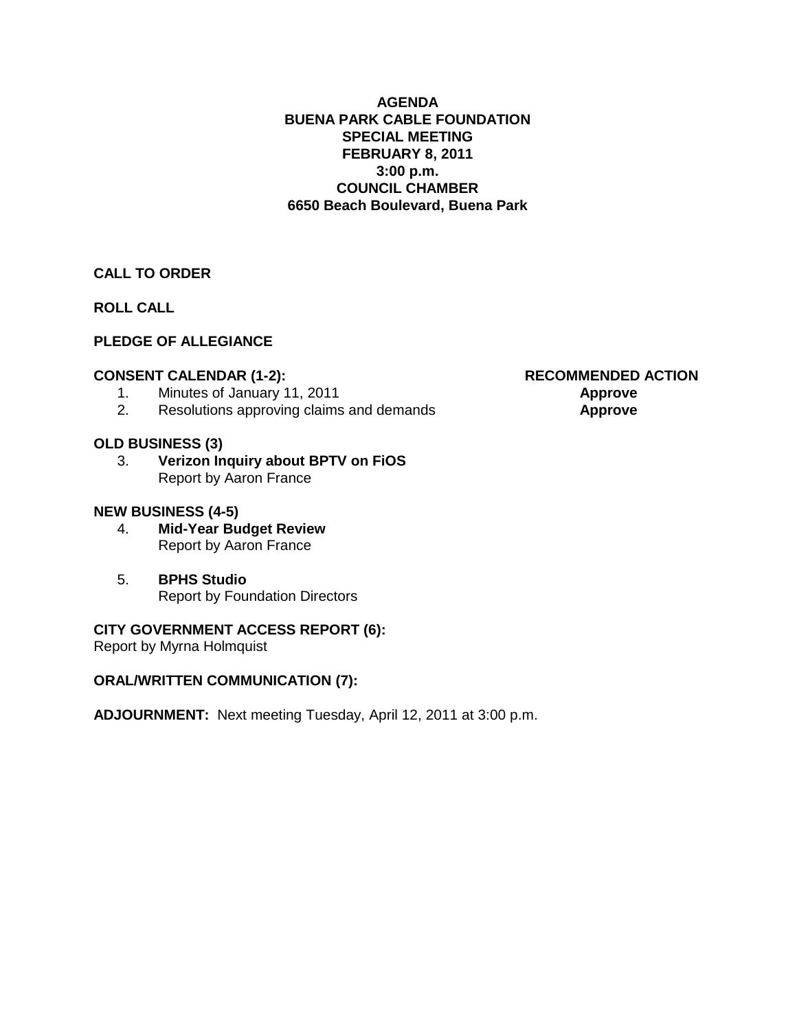#### **AGENDA BUENA PARK CABLE FOUNDATION SPECIAL MEETING FEBRUARY 8, 2011 3:00 p.m. COUNCIL CHAMBER 6650 Beach Boulevard, Buena Park**

#### **CALL TO ORDER**

**ROLL CALL**

#### **PLEDGE OF ALLEGIANCE**

#### **CONSENT CALENDAR (1-2): RECOMMENDED ACTION**

- 1. Minutes of January 11, 2011 **Approve**
- 2. Resolutions approving claims and demands **Approve**

#### **OLD BUSINESS (3)**

3. **Verizon Inquiry about BPTV on FiOS** Report by Aaron France

#### **NEW BUSINESS (4-5)**

- 4. **Mid-Year Budget Review** Report by Aaron France
- 5. **BPHS Studio** Report by Foundation Directors

#### **CITY GOVERNMENT ACCESS REPORT (6):**

Report by Myrna Holmquist

#### **ORAL/WRITTEN COMMUNICATION (7):**

**ADJOURNMENT:** Next meeting Tuesday, April 12, 2011 at 3:00 p.m.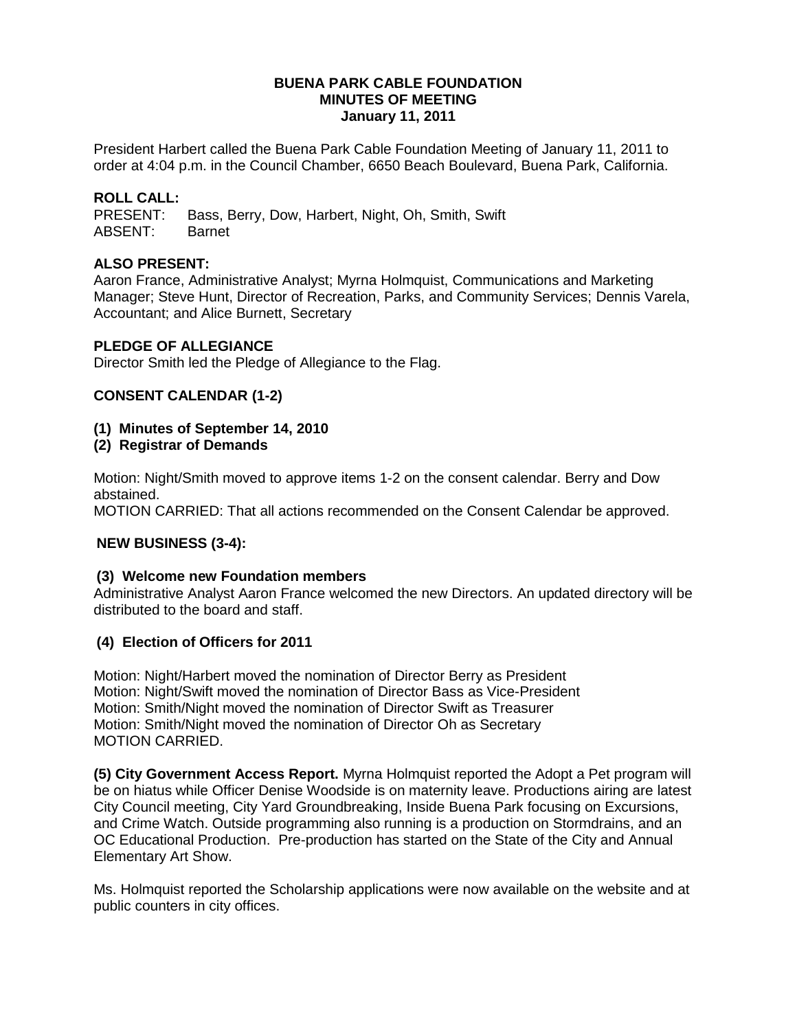#### **BUENA PARK CABLE FOUNDATION MINUTES OF MEETING January 11, 2011**

President Harbert called the Buena Park Cable Foundation Meeting of January 11, 2011 to order at 4:04 p.m. in the Council Chamber, 6650 Beach Boulevard, Buena Park, California.

#### **ROLL CALL:**

PRESENT: Bass, Berry, Dow, Harbert, Night, Oh, Smith, Swift ABSENT: Barnet

#### **ALSO PRESENT:**

Aaron France, Administrative Analyst; Myrna Holmquist, Communications and Marketing Manager; Steve Hunt, Director of Recreation, Parks, and Community Services; Dennis Varela, Accountant; and Alice Burnett, Secretary

#### **PLEDGE OF ALLEGIANCE**

Director Smith led the Pledge of Allegiance to the Flag.

#### **CONSENT CALENDAR (1-2)**

- **(1) Minutes of September 14, 2010**
- **(2) Registrar of Demands**

Motion: Night/Smith moved to approve items 1-2 on the consent calendar. Berry and Dow abstained.

MOTION CARRIED: That all actions recommended on the Consent Calendar be approved.

#### **NEW BUSINESS (3-4):**

#### **(3) Welcome new Foundation members**

Administrative Analyst Aaron France welcomed the new Directors. An updated directory will be distributed to the board and staff.

#### **(4) Election of Officers for 2011**

Motion: Night/Harbert moved the nomination of Director Berry as President Motion: Night/Swift moved the nomination of Director Bass as Vice-President Motion: Smith/Night moved the nomination of Director Swift as Treasurer Motion: Smith/Night moved the nomination of Director Oh as Secretary MOTION CARRIED.

**(5) City Government Access Report.** Myrna Holmquist reported the Adopt a Pet program will be on hiatus while Officer Denise Woodside is on maternity leave. Productions airing are latest City Council meeting, City Yard Groundbreaking, Inside Buena Park focusing on Excursions, and Crime Watch. Outside programming also running is a production on Stormdrains, and an OC Educational Production. Pre-production has started on the State of the City and Annual Elementary Art Show.

Ms. Holmquist reported the Scholarship applications were now available on the website and at public counters in city offices.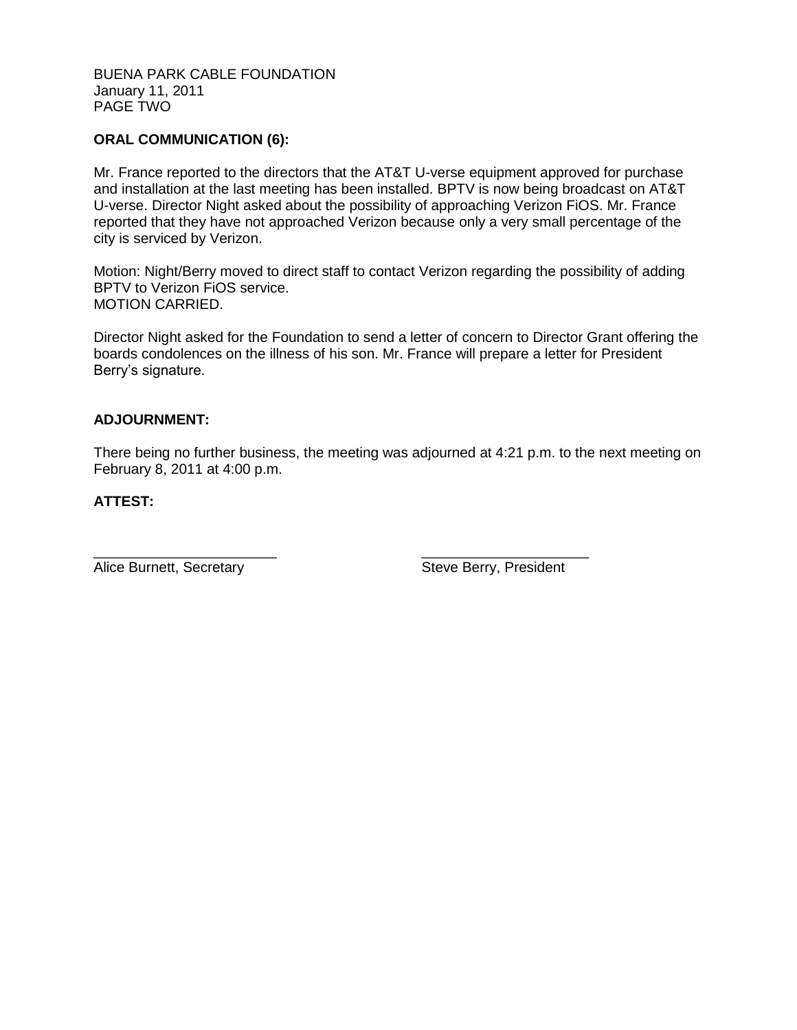#### BUENA PARK CABLE FOUNDATION January 11, 2011 PAGE TWO

#### **ORAL COMMUNICATION (6):**

Mr. France reported to the directors that the AT&T U-verse equipment approved for purchase and installation at the last meeting has been installed. BPTV is now being broadcast on AT&T U-verse. Director Night asked about the possibility of approaching Verizon FiOS. Mr. France reported that they have not approached Verizon because only a very small percentage of the city is serviced by Verizon.

Motion: Night/Berry moved to direct staff to contact Verizon regarding the possibility of adding BPTV to Verizon FiOS service. MOTION CARRIED.

Director Night asked for the Foundation to send a letter of concern to Director Grant offering the boards condolences on the illness of his son. Mr. France will prepare a letter for President Berry's signature.

#### **ADJOURNMENT:**

There being no further business, the meeting was adjourned at 4:21 p.m. to the next meeting on February 8, 2011 at 4:00 p.m.

#### **ATTEST:**

Alice Burnett, Secretary **Steve Berry, President** 

\_\_\_\_\_\_\_\_\_\_\_\_\_\_\_\_\_\_\_\_\_\_\_ \_\_\_\_\_\_\_\_\_\_\_\_\_\_\_\_\_\_\_\_\_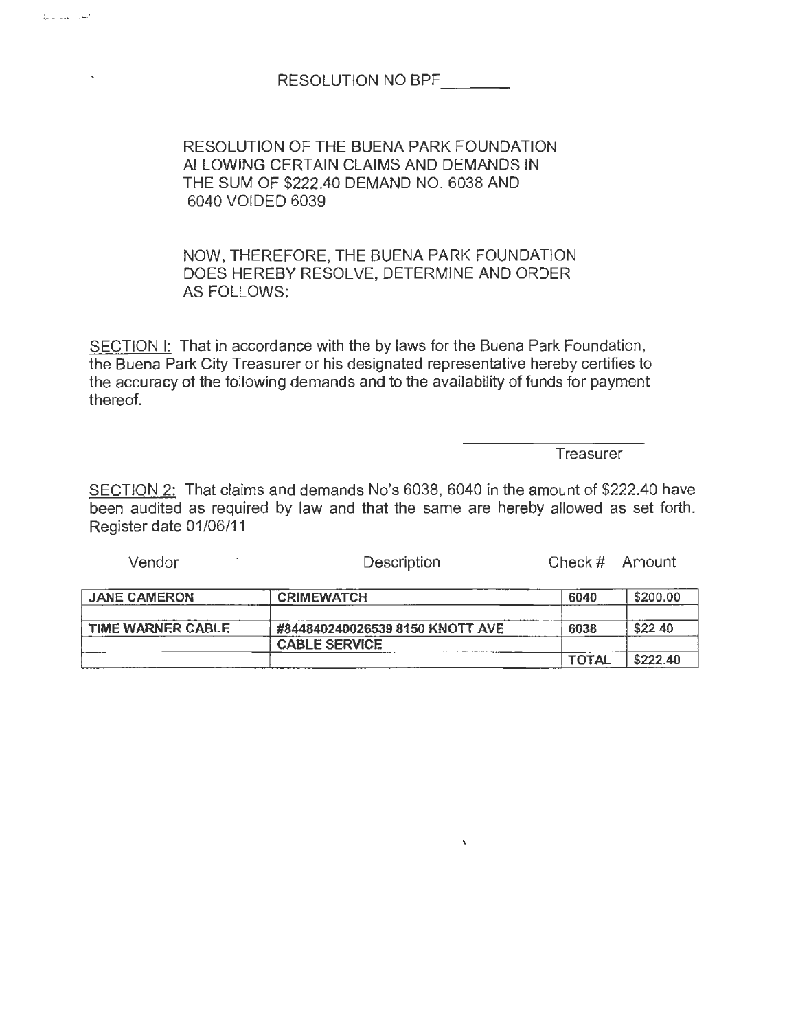### RESOLUTION NO BPF

RESOLUTION OF THE BUENA PARK FOUNDATION ALLOWING CERTAIN CLAIMS AND DEMANDS IN THE SUM OF \$222.40 DEMAND NO. 6038 AND 6040 VOIDED 6039

NOW, THEREFORE, THE BUENA PARK FOUNDATION DOES HEREBY RESOLVE, DETERMINE AND ORDER AS FOLLOWS:

SECTION 1: That in accordance with the by laws for the Buena Park Foundation, the Buena Park City Treasurer or his designated representative hereby certifies to the accuracy of the following demands and to the availability of funds for payment thereof.

Treasurer

SECTION 2: That claims and demands No's 6038, 6040 in the amount of \$222.40 have been audited as required by law and that the same are hereby allowed as set forth. Register date 01/06/11

Vendor **Description** Check # Amount

| <b>JANE CAMERON</b> | <b>CRIMEWATCH</b>               | 6040         | \$200.00 |
|---------------------|---------------------------------|--------------|----------|
|                     |                                 |              |          |
| TIME WARNER CABLE   | #844840240026539 8150 KNOTT AVE | 6038         | \$22.40  |
|                     | <b>CABLE SERVICE</b>            |              |          |
|                     |                                 | <b>TOTAL</b> | \$222.40 |

 $\bar{\chi}$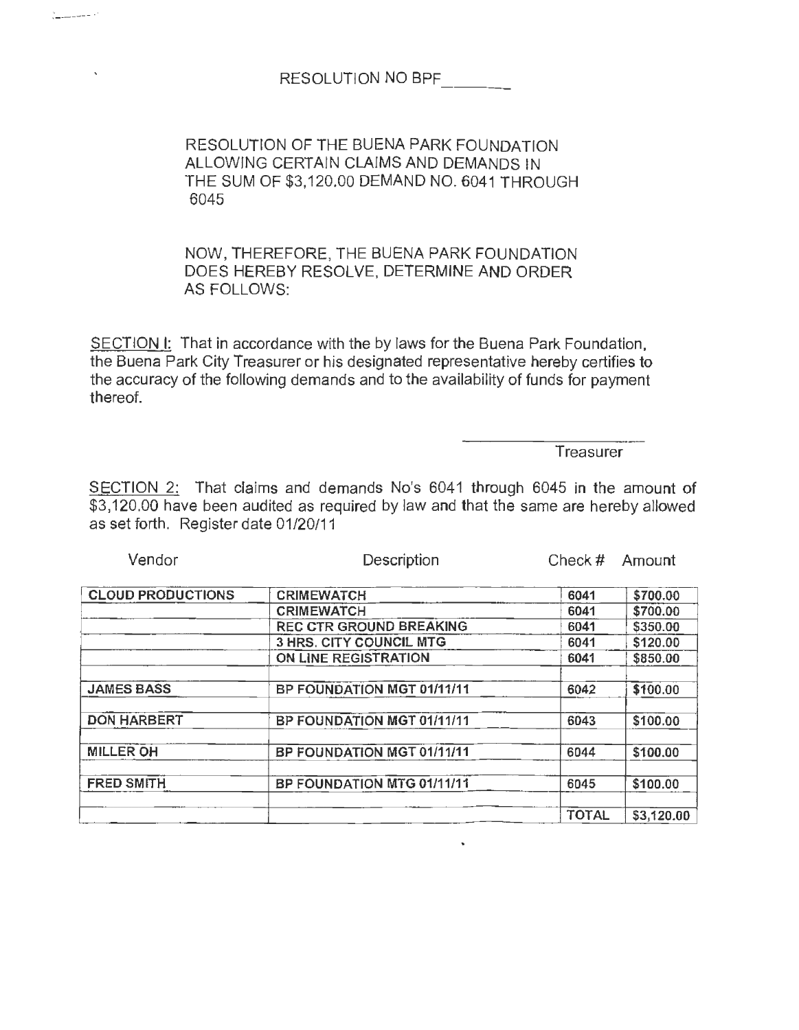RESOLUTION NO BPF

~· ---~-- . '

RESOLUTION OF THE BUENA PARK FOUNDATION ALLOWING CERTAIN CLAIMS AND DEMANDS IN THE SUM OF \$3,120.00 DEMAND NO. 6041 THROUGH 6045

NOW, THEREFORE, THE BUENA PARK FOUNDATION DOES HEREBY RESOLVE, DETERMINE AND ORDER AS FOLLOWS:

SECTION I: That in accordance with the by laws for the Buena Park Foundation, the Buena Park City Treasurer or his designated representative hereby certifies to the accuracy of the following demands and to the availability of funds for payment thereof.

**Treasurer** 

SECTION 2: That claims and demands No's 6041 through 6045 in the amount of \$3,120.00 have been audited as required by law and that the same are hereby allowed as set forth. Register date 01/20/11

| Vendor                   | Description                    | Check $#$    | <b>Amount</b> |  |
|--------------------------|--------------------------------|--------------|---------------|--|
| <b>CLOUD PRODUCTIONS</b> | <b>CRIMEWATCH</b>              |              |               |  |
|                          |                                | 6041         | \$700.00      |  |
|                          | <b>CRIMEWATCH</b>              | 6041         | \$700.00      |  |
|                          | <b>REC CTR GROUND BREAKING</b> | 6041         | \$350.00      |  |
|                          | <b>3 HRS. CITY COUNCIL MTG</b> | 6041         | \$120.00      |  |
|                          | ON LINE REGISTRATION           | 6041         | \$850.00      |  |
|                          |                                |              |               |  |
| <b>JAMES BASS</b>        | BP FOUNDATION MGT 01/11/11     | 6042         | \$100.00      |  |
|                          |                                |              |               |  |
| <b>DON HARBERT</b>       | BP FOUNDATION MGT 01/11/11     | 6043         | \$100.00      |  |
|                          |                                |              |               |  |
| <b>MILLER OH</b>         | BP FOUNDATION MGT 01/11/11     | 6044         | \$100.00      |  |
|                          |                                |              |               |  |
| <b>FRED SMITH</b>        | BP FOUNDATION MTG 01/11/11     | 6045         | \$100.00      |  |
|                          |                                |              |               |  |
|                          |                                | <b>TOTAL</b> | \$3,120.00    |  |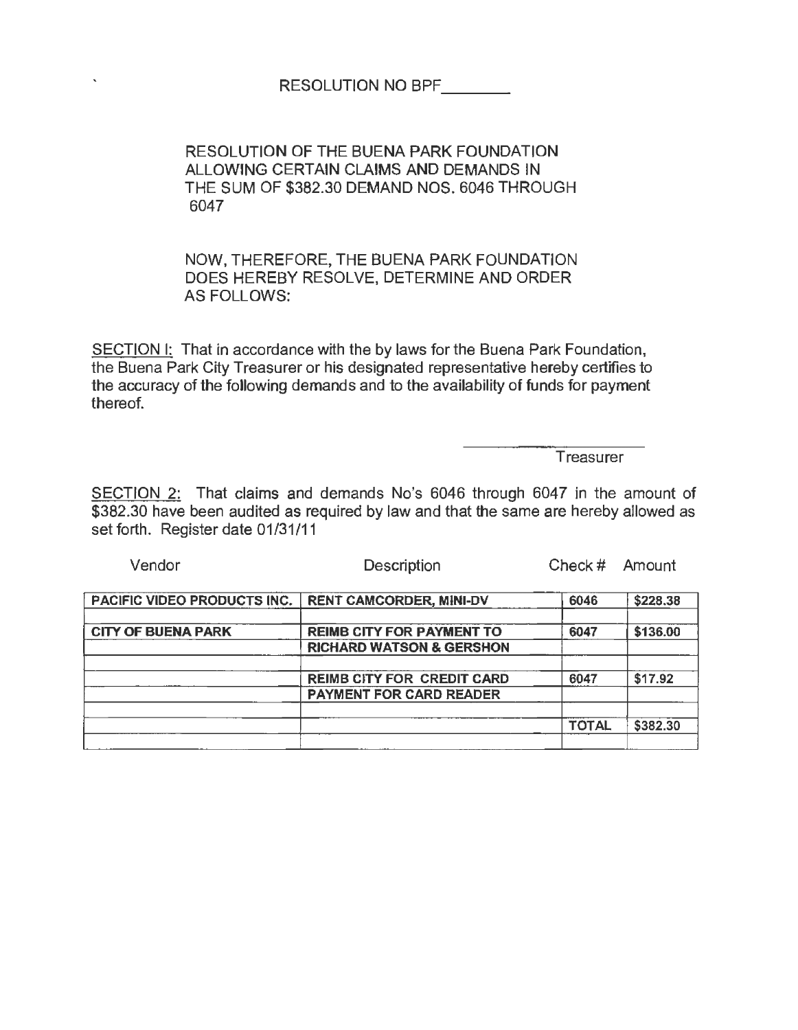| <b>RESOLUTION NO BPF</b> |  |
|--------------------------|--|
|                          |  |

RESOLUTION OF THE BUENA PARK FOUNDATION ALLOWING CERTAIN CLAIMS AND DEMANDS IN THE SUM OF \$382.30 DEMAND NOS. 6046 THROUGH 6047

NOW, THEREFORE, THE BUENA PARK FOUNDATION DOES HEREBY RESOLVE, DETERMINE AND ORDER AS FOLLOWS:

SECTION I: That in accordance with the by laws for the Buena Park Foundation, the Buena Park City Treasurer or his designated representative hereby certifies to the accuracy of the following demands and to the availability of funds for payment thereof.

**Treasurer** 

SECTION 2: That claims and demands No's 6046 through 6047 in the amount of \$382.30 have been audited as required by law and that the same are hereby allowed as set forth. Register date 01/31/11

| Vendor                      | Description                                                             | Check $#$    | Amount   |  |
|-----------------------------|-------------------------------------------------------------------------|--------------|----------|--|
| PACIFIC VIDEO PRODUCTS INC. | <b>RENT CAMCORDER, MINI-DV</b>                                          | 6046         | \$228.38 |  |
| <b>CITY OF BUENA PARK</b>   | <b>REIMB CITY FOR PAYMENT TO</b><br><b>RICHARD WATSON &amp; GERSHON</b> | 6047         | \$136.00 |  |
|                             | <b>REIMB CITY FOR CREDIT CARD</b>                                       | 6047         | \$17.92  |  |
|                             | <b>PAYMENT FOR CARD READER</b>                                          |              |          |  |
|                             |                                                                         | <b>TOTAL</b> | \$382.30 |  |
|                             |                                                                         |              |          |  |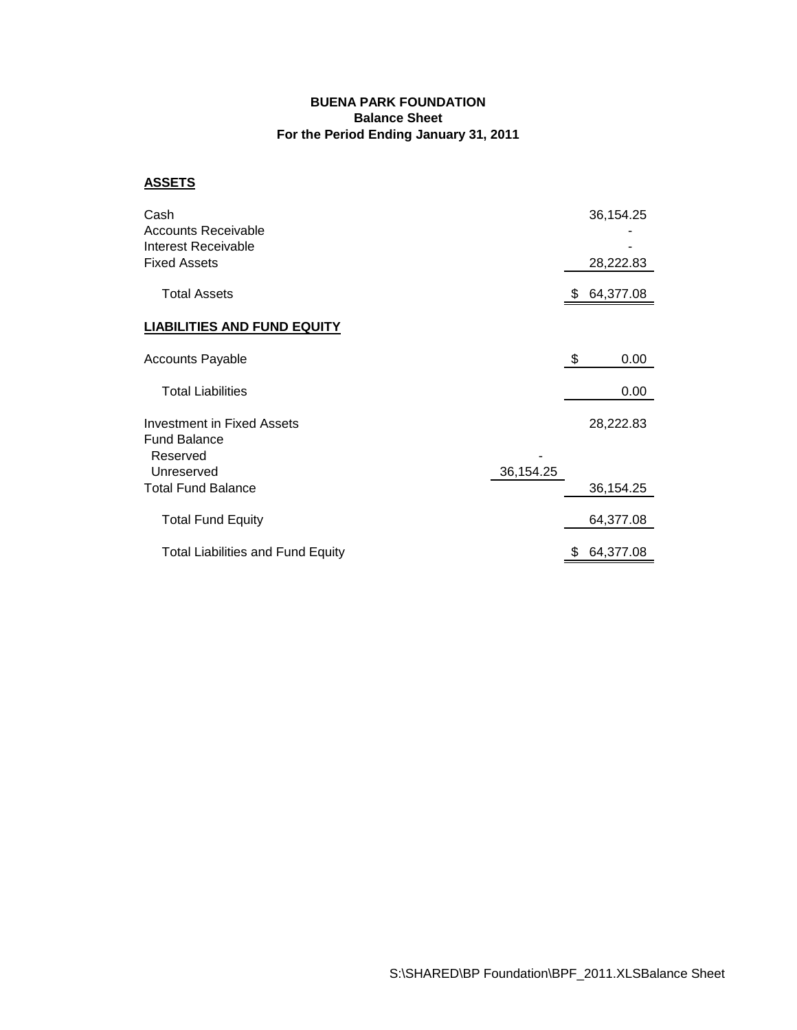#### **BUENA PARK FOUNDATION Balance Sheet For the Period Ending January 31, 2011**

#### **ASSETS**

| Cash<br>Accounts Receivable<br>Interest Receivable<br><b>Fixed Assets</b> |           | 36,154.25<br>28,222.83 |
|---------------------------------------------------------------------------|-----------|------------------------|
| <b>Total Assets</b>                                                       |           | 64,377.08              |
| <b>LIABILITIES AND FUND EQUITY</b>                                        |           |                        |
| <b>Accounts Payable</b>                                                   |           | \$<br>0.00             |
| <b>Total Liabilities</b>                                                  |           | 0.00                   |
| <b>Investment in Fixed Assets</b><br><b>Fund Balance</b><br>Reserved      |           | 28,222.83              |
| Unreserved<br><b>Total Fund Balance</b>                                   | 36,154.25 | 36,154.25              |
| <b>Total Fund Equity</b>                                                  |           | 64,377.08              |
| <b>Total Liabilities and Fund Equity</b>                                  |           | \$<br>64,377.08        |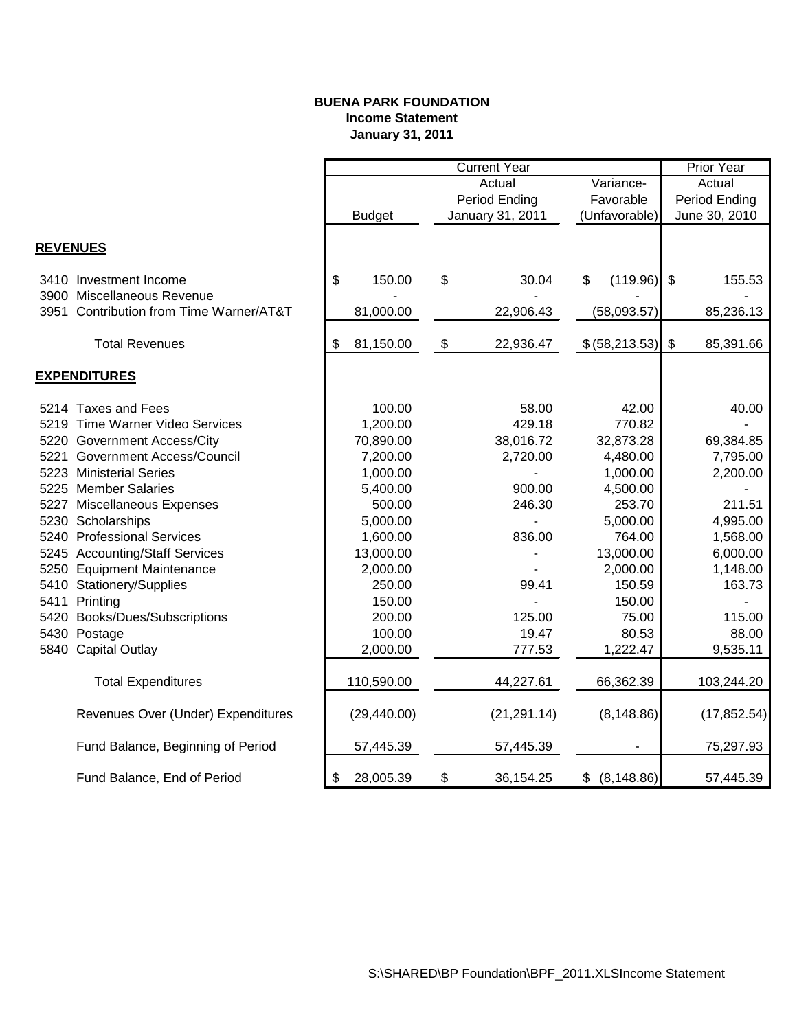#### **BUENA PARK FOUNDATION Income Statement January 31, 2011**

|                 |                                         | <b>Current Year</b> |               |    |                  |                   | <b>Prior Year</b>         |              |
|-----------------|-----------------------------------------|---------------------|---------------|----|------------------|-------------------|---------------------------|--------------|
|                 |                                         | Variance-<br>Actual |               |    | Actual           |                   |                           |              |
|                 |                                         |                     |               |    | Period Ending    | Favorable         | Period Ending             |              |
|                 |                                         |                     | <b>Budget</b> |    | January 31, 2011 | (Unfavorable)     | June 30, 2010             |              |
|                 |                                         |                     |               |    |                  |                   |                           |              |
| <b>REVENUES</b> |                                         |                     |               |    |                  |                   |                           |              |
|                 | 3410 Investment Income                  | \$                  | 150.00        | \$ | 30.04            | \$<br>(119.96)    | \$                        | 155.53       |
|                 | 3900 Miscellaneous Revenue              |                     |               |    |                  |                   |                           |              |
|                 | 3951 Contribution from Time Warner/AT&T |                     | 81,000.00     |    | 22,906.43        | (58,093.57)       |                           | 85,236.13    |
|                 | <b>Total Revenues</b>                   | \$                  | 81,150.00     | \$ | 22,936.47        | \$ (58, 213.53)   | $\boldsymbol{\mathsf{S}}$ | 85,391.66    |
|                 |                                         |                     |               |    |                  |                   |                           |              |
|                 | <b>EXPENDITURES</b>                     |                     |               |    |                  |                   |                           |              |
|                 | 5214 Taxes and Fees                     |                     | 100.00        |    | 58.00            | 42.00             |                           | 40.00        |
|                 | 5219 Time Warner Video Services         |                     | 1,200.00      |    | 429.18           | 770.82            |                           |              |
|                 | 5220 Government Access/City             |                     | 70,890.00     |    | 38,016.72        | 32,873.28         |                           | 69,384.85    |
|                 | 5221 Government Access/Council          |                     | 7,200.00      |    | 2,720.00         | 4,480.00          |                           | 7,795.00     |
|                 | 5223 Ministerial Series                 |                     | 1,000.00      |    |                  | 1,000.00          |                           | 2,200.00     |
|                 | 5225 Member Salaries                    |                     | 5,400.00      |    | 900.00           | 4,500.00          |                           |              |
|                 | 5227 Miscellaneous Expenses             |                     | 500.00        |    | 246.30           | 253.70            |                           | 211.51       |
|                 | 5230 Scholarships                       |                     | 5,000.00      |    |                  | 5,000.00          |                           | 4,995.00     |
|                 | 5240 Professional Services              |                     | 1,600.00      |    | 836.00           | 764.00            |                           | 1,568.00     |
|                 | 5245 Accounting/Staff Services          |                     | 13,000.00     |    |                  | 13,000.00         |                           | 6,000.00     |
|                 | 5250 Equipment Maintenance              |                     | 2,000.00      |    |                  | 2,000.00          |                           | 1,148.00     |
|                 | 5410 Stationery/Supplies                |                     | 250.00        |    | 99.41            | 150.59            |                           | 163.73       |
|                 | 5411 Printing                           |                     | 150.00        |    |                  | 150.00            |                           |              |
|                 | 5420 Books/Dues/Subscriptions           |                     | 200.00        |    | 125.00           | 75.00             |                           | 115.00       |
|                 | 5430 Postage                            |                     | 100.00        |    | 19.47            | 80.53             |                           | 88.00        |
|                 | 5840 Capital Outlay                     |                     | 2,000.00      |    | 777.53           | 1,222.47          |                           | 9,535.11     |
|                 | <b>Total Expenditures</b>               |                     | 110,590.00    |    | 44,227.61        | 66,362.39         |                           | 103,244.20   |
|                 |                                         |                     |               |    |                  |                   |                           |              |
|                 | Revenues Over (Under) Expenditures      |                     | (29, 440.00)  |    | (21, 291.14)     | (8, 148.86)       |                           | (17, 852.54) |
|                 | Fund Balance, Beginning of Period       |                     | 57,445.39     |    | 57,445.39        |                   |                           | 75,297.93    |
|                 | Fund Balance, End of Period             | \$                  | 28,005.39     | \$ | 36,154.25        | \$<br>(8, 148.86) |                           | 57,445.39    |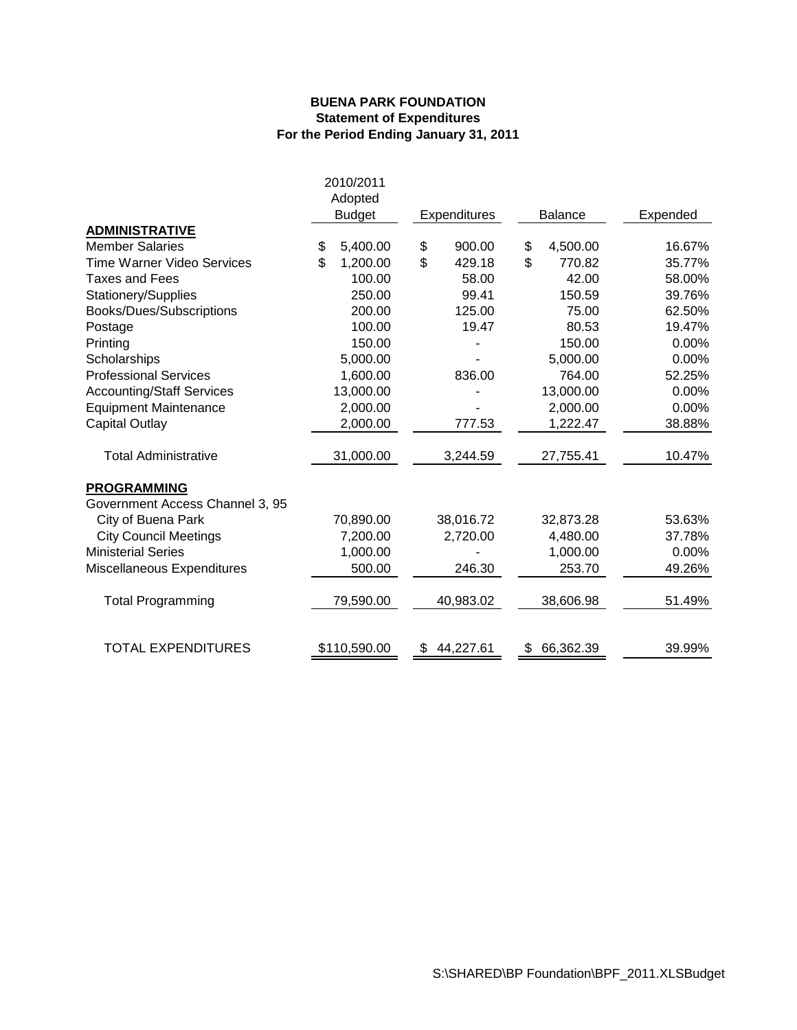#### **BUENA PARK FOUNDATION Statement of Expenditures For the Period Ending January 31, 2011**

|                                  | 2010/2011                |                 |                |          |  |
|----------------------------------|--------------------------|-----------------|----------------|----------|--|
|                                  | Adopted<br><b>Budget</b> | Expenditures    | <b>Balance</b> | Expended |  |
| <b>ADMINISTRATIVE</b>            |                          |                 |                |          |  |
| <b>Member Salaries</b>           | \$<br>5,400.00           | 900.00<br>\$    | \$<br>4,500.00 | 16.67%   |  |
| Time Warner Video Services       | \$<br>1,200.00           | \$<br>429.18    | \$<br>770.82   | 35.77%   |  |
| <b>Taxes and Fees</b>            | 100.00                   | 58.00           | 42.00          | 58.00%   |  |
| Stationery/Supplies              | 250.00                   | 99.41           | 150.59         | 39.76%   |  |
| Books/Dues/Subscriptions         | 200.00                   | 125.00          | 75.00          | 62.50%   |  |
| Postage                          | 100.00                   | 19.47           | 80.53          | 19.47%   |  |
| Printing                         | 150.00                   |                 | 150.00         | 0.00%    |  |
| Scholarships                     | 5,000.00                 |                 | 5,000.00       | 0.00%    |  |
| <b>Professional Services</b>     | 1,600.00                 | 836.00          | 764.00         | 52.25%   |  |
| <b>Accounting/Staff Services</b> | 13,000.00                |                 | 13,000.00      | 0.00%    |  |
| <b>Equipment Maintenance</b>     | 2,000.00                 |                 | 2,000.00       | 0.00%    |  |
| <b>Capital Outlay</b>            | 2,000.00                 | 777.53          | 1,222.47       | 38.88%   |  |
| <b>Total Administrative</b>      | 31,000.00                | 3,244.59        | 27,755.41      | 10.47%   |  |
| <b>PROGRAMMING</b>               |                          |                 |                |          |  |
| Government Access Channel 3, 95  |                          |                 |                |          |  |
| City of Buena Park               | 70,890.00                | 38,016.72       | 32,873.28      | 53.63%   |  |
| <b>City Council Meetings</b>     | 7,200.00                 | 2,720.00        | 4,480.00       | 37.78%   |  |
| <b>Ministerial Series</b>        | 1,000.00                 |                 | 1,000.00       | 0.00%    |  |
| Miscellaneous Expenditures       | 500.00                   | 246.30          | 253.70         | 49.26%   |  |
| <b>Total Programming</b>         | 79,590.00                | 40,983.02       | 38,606.98      | 51.49%   |  |
| <b>TOTAL EXPENDITURES</b>        | \$110,590.00             | 44,227.61<br>\$ | 66,362.39      | 39.99%   |  |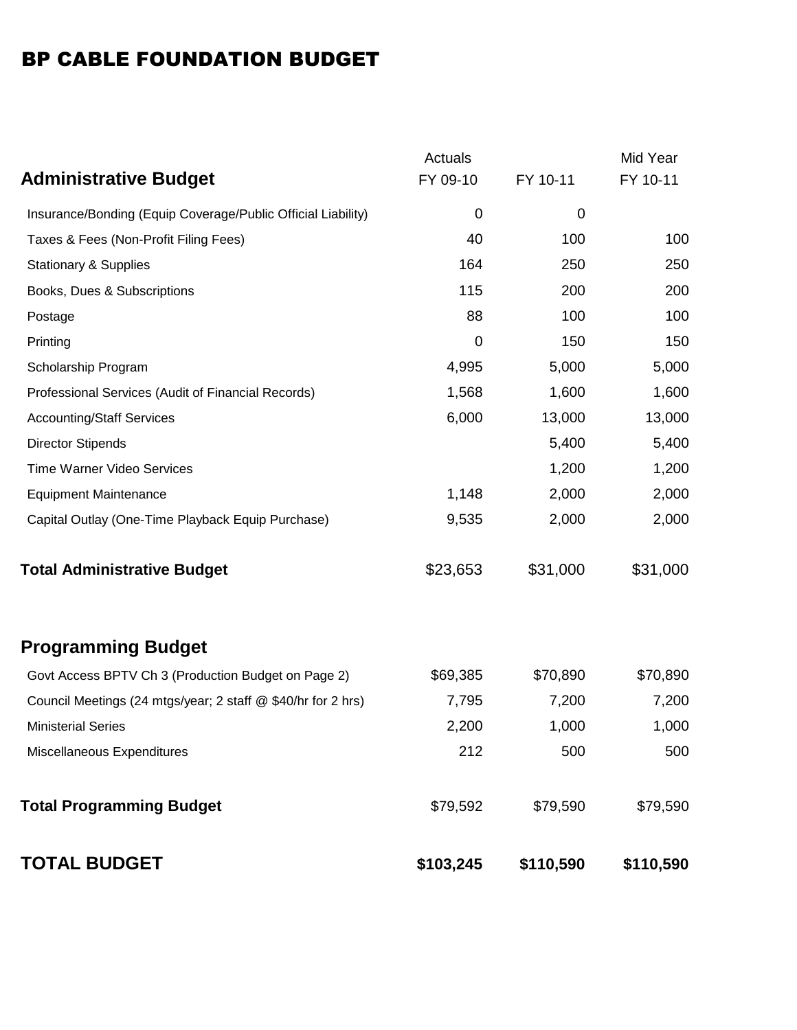# BP CABLE FOUNDATION BUDGET

|                                                              | Actuals   |           | Mid Year  |
|--------------------------------------------------------------|-----------|-----------|-----------|
| <b>Administrative Budget</b>                                 | FY 09-10  | FY 10-11  | FY 10-11  |
| Insurance/Bonding (Equip Coverage/Public Official Liability) | 0         | 0         |           |
| Taxes & Fees (Non-Profit Filing Fees)                        | 40        | 100       | 100       |
| <b>Stationary &amp; Supplies</b>                             | 164       | 250       | 250       |
| Books, Dues & Subscriptions                                  | 115       | 200       | 200       |
| Postage                                                      | 88        | 100       | 100       |
| Printing                                                     | 0         | 150       | 150       |
| Scholarship Program                                          | 4,995     | 5,000     | 5,000     |
| Professional Services (Audit of Financial Records)           | 1,568     | 1,600     | 1,600     |
| <b>Accounting/Staff Services</b>                             | 6,000     | 13,000    | 13,000    |
| <b>Director Stipends</b>                                     |           | 5,400     | 5,400     |
| Time Warner Video Services                                   |           | 1,200     | 1,200     |
| <b>Equipment Maintenance</b>                                 | 1,148     | 2,000     | 2,000     |
| Capital Outlay (One-Time Playback Equip Purchase)            | 9,535     | 2,000     | 2,000     |
| <b>Total Administrative Budget</b>                           | \$23,653  | \$31,000  | \$31,000  |
| <b>Programming Budget</b>                                    |           |           |           |
| Govt Access BPTV Ch 3 (Production Budget on Page 2)          | \$69,385  | \$70,890  | \$70,890  |
| Council Meetings (24 mtgs/year; 2 staff @ \$40/hr for 2 hrs) | 7,795     | 7,200     | 7,200     |
| <b>Ministerial Series</b>                                    | 2,200     | 1,000     | 1,000     |
| Miscellaneous Expenditures                                   | 212       | 500       | 500       |
| <b>Total Programming Budget</b>                              | \$79,592  | \$79,590  | \$79,590  |
| <b>TOTAL BUDGET</b>                                          | \$103,245 | \$110,590 | \$110,590 |